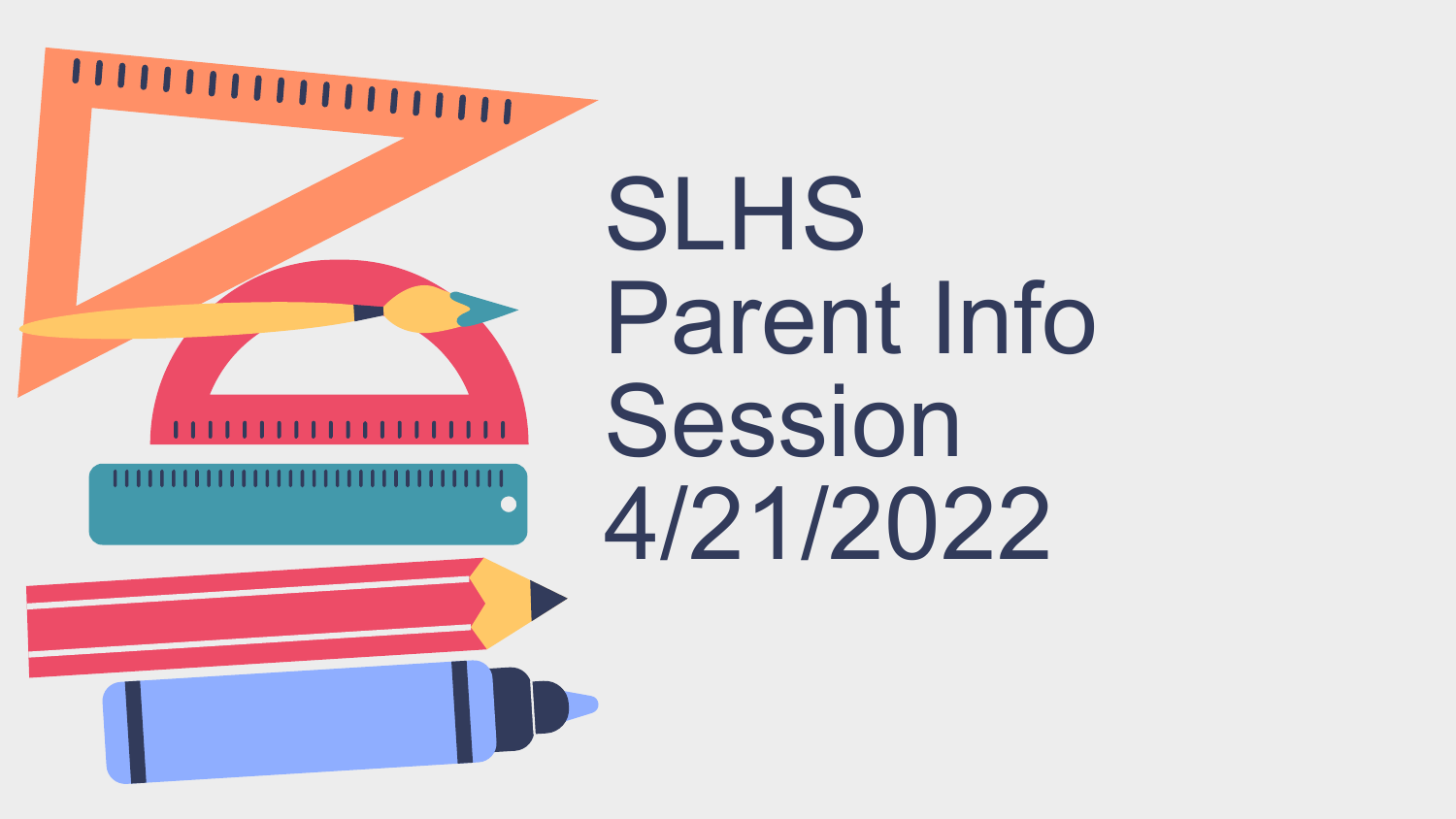

**SLHS** Parent Info Session 4/21/2022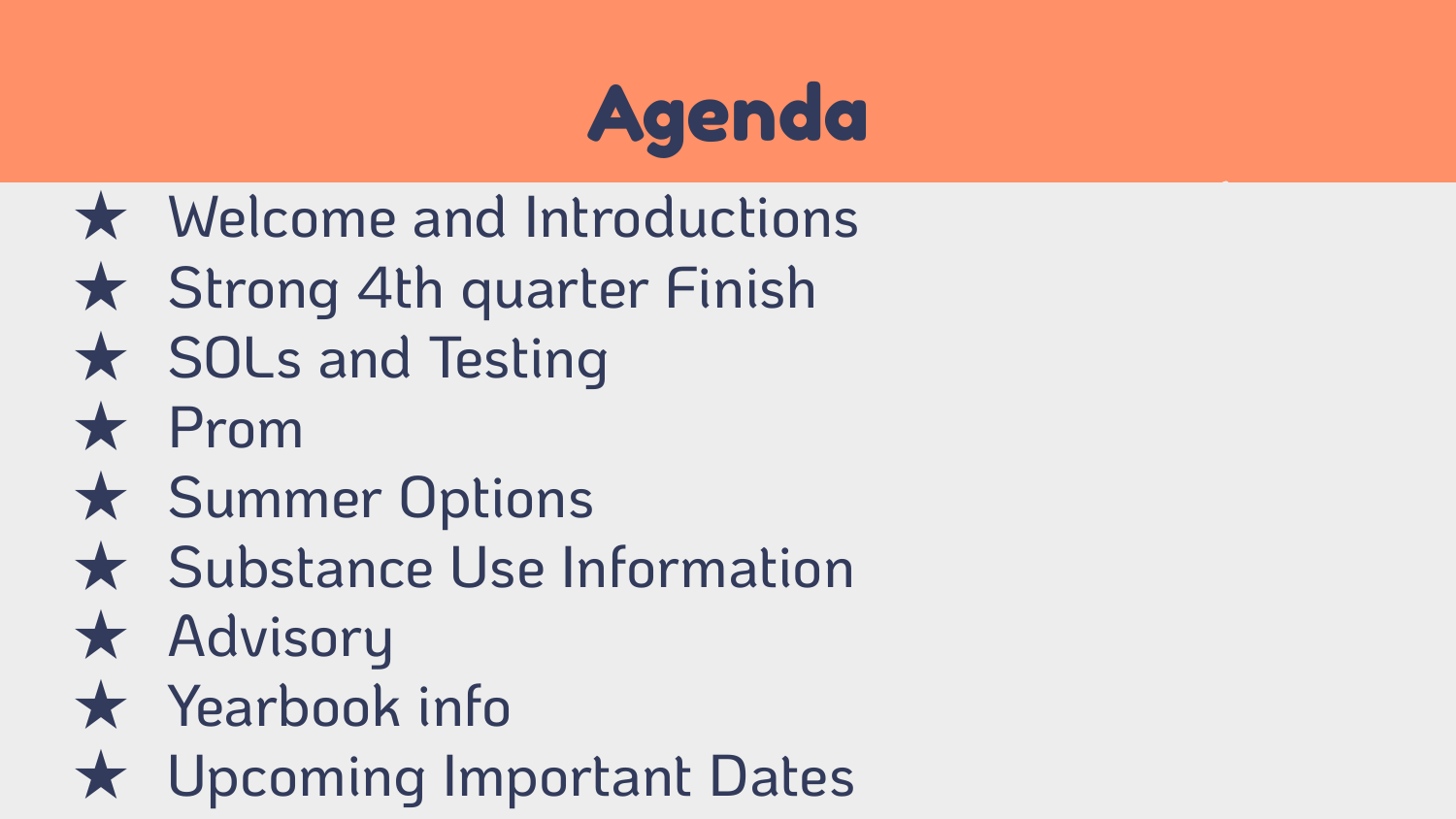

- ★ Welcome and Introductions
- ★ Strong 4th quarter Finish
- ★ SOLs and Testing
- ★ Prom
- ★ Summer Options
- ★ Substance Use Information
- ★ Advisory
- ★ Yearbook info
- ★ Upcoming Important Dates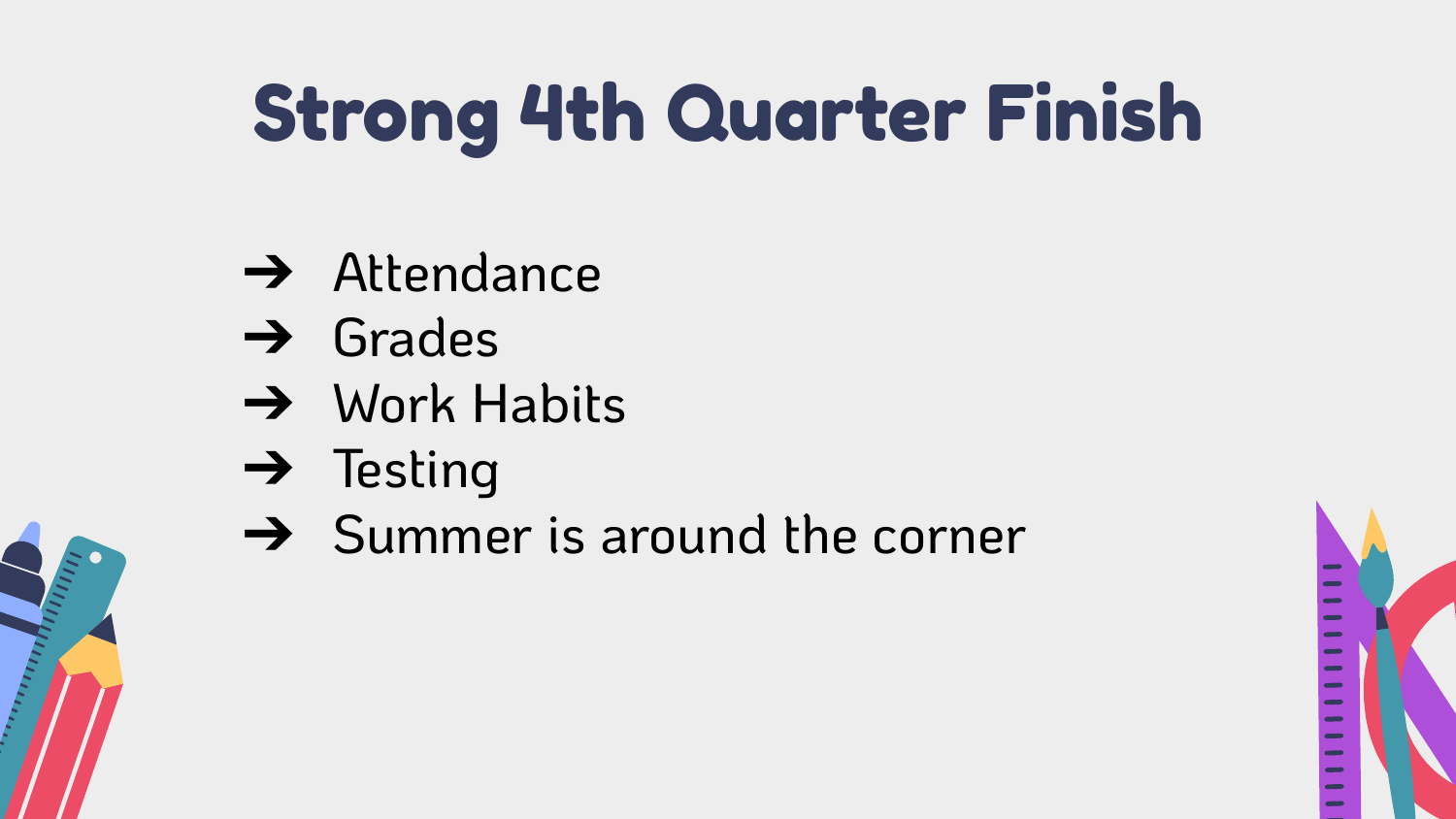### Strong 4th Quarter Finish

- **→** Attendance
- → Grades
- → Work Habits
- → Testing
- $\rightarrow$  Summer is around the corner

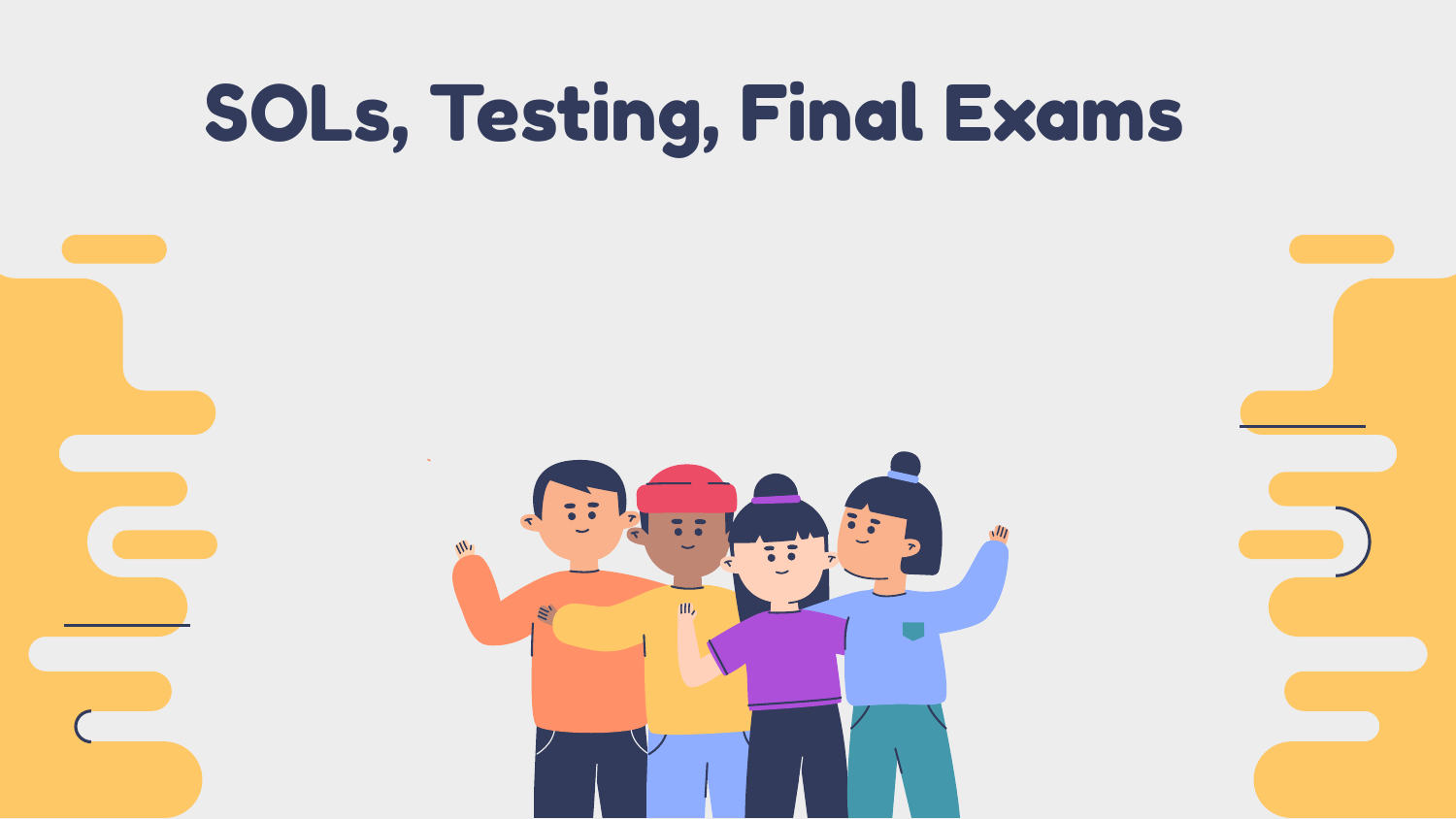#### SOLs, Testing, Final Exams

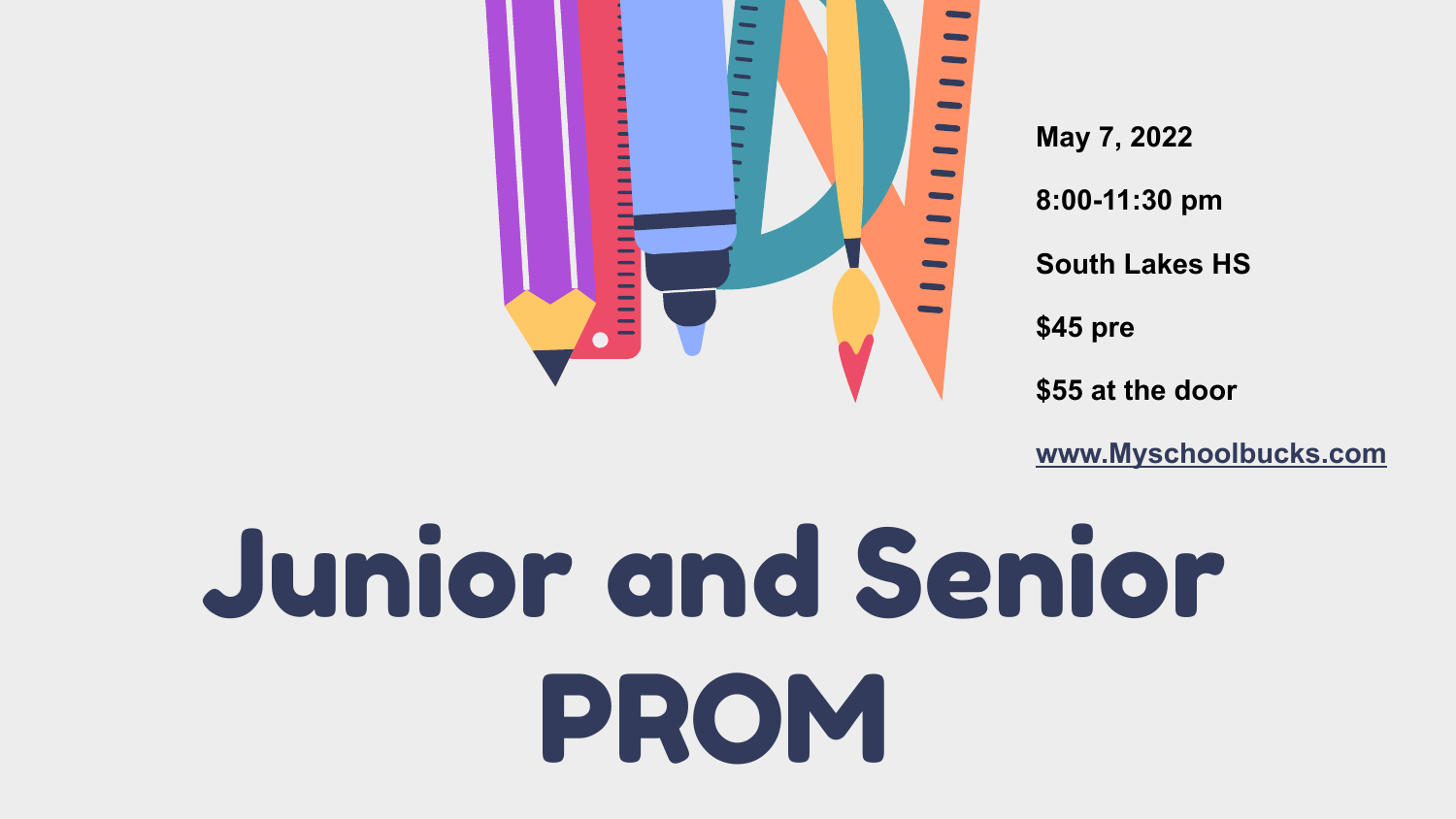

**May 7, 2022**

**8:00-11:30 pm**

**South Lakes HS**

**\$45 pre**

**\$55 at the door**

**[www.Myschoolbucks.com](http://www.myschoolbucks.com)**

# Junior and Senior PROM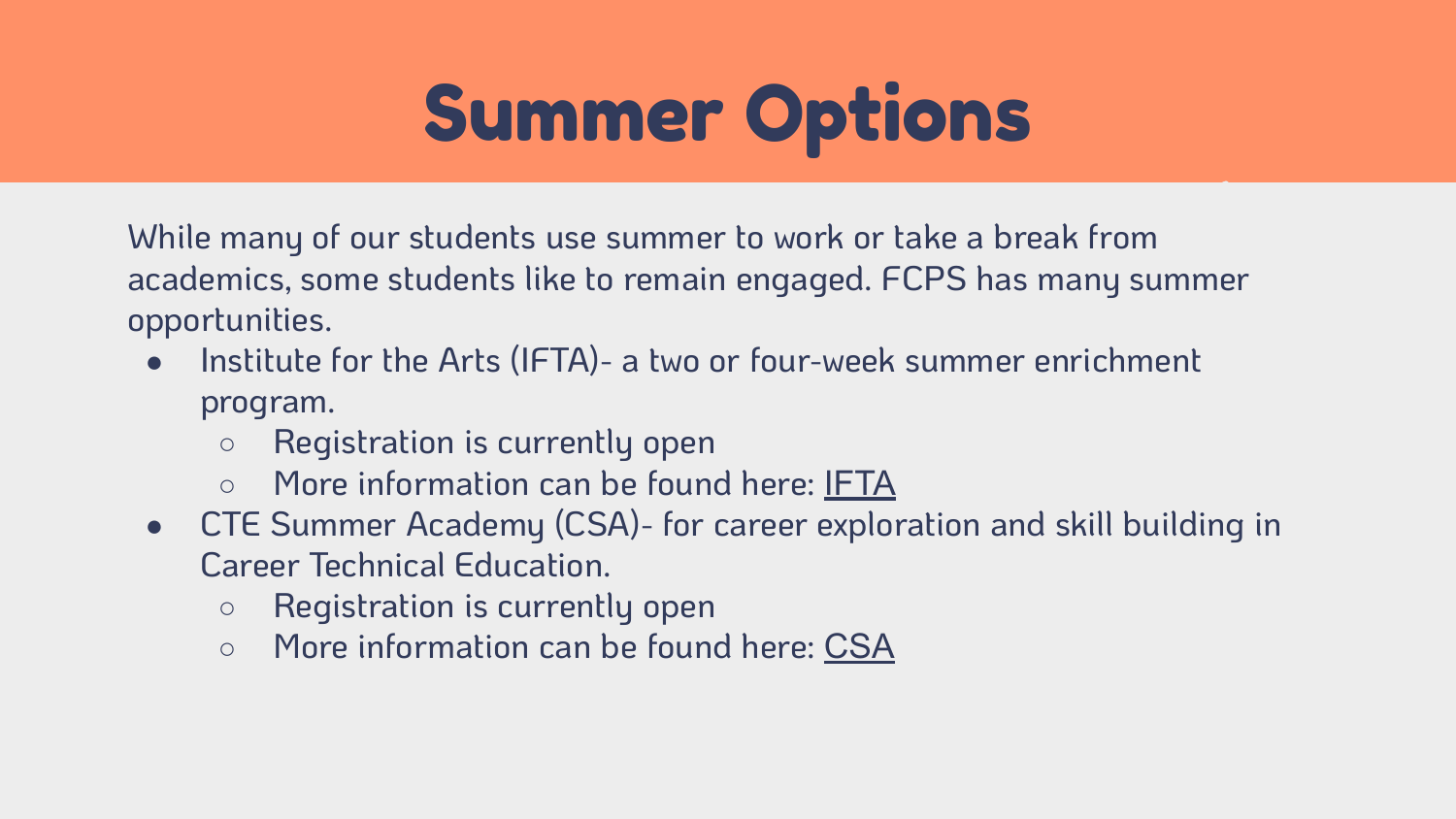#### Summer Options

While many of our students use summer to work or take a break from academics, some students like to remain engaged. FCPS has many summer opportunities.

- Institute for the Arts (IFTA)- a two or four-week summer enrichment program.
	- Registration is currently open
	- More information can be found here: [IFTA](https://www.fcps.edu/academics/summer-learning-programs/camps-and-institutes-institute-arts-ifta)
- CTE Summer Academy (CSA)- for career exploration and skill building in Career Technical Education.
	- Registration is currently open
	- More information can be found here: [CSA](https://www.fcps.edu/academics/summer-learning-programs/camps-and-institutes-CTE-summer-academy)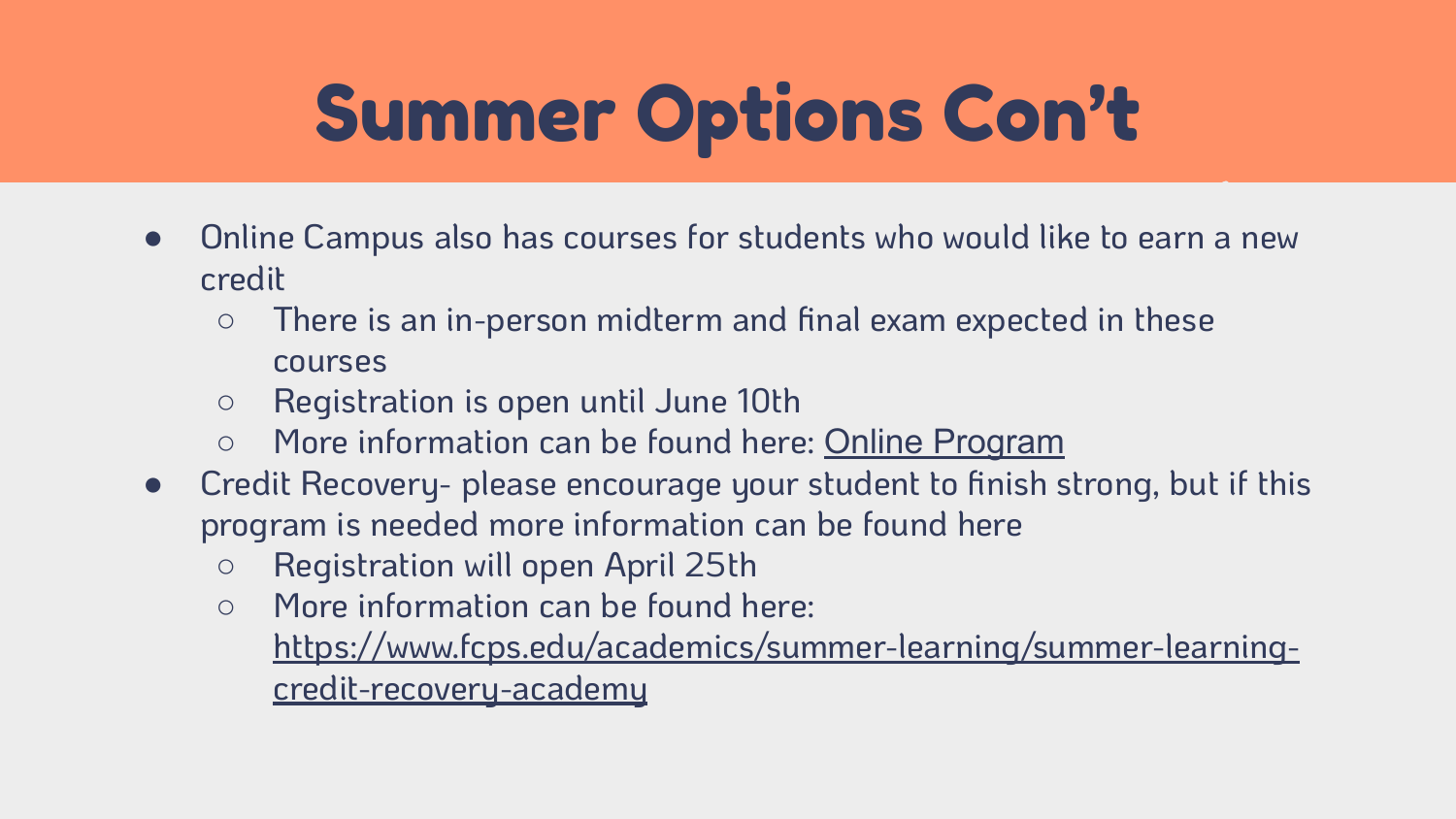#### Summer Options Con't

- Online Campus also has courses for students who would like to earn a new credit
	- There is an in-person midterm and final exam expected in these courses
	- Registration is open until June 10th
	- More information can be found here: [Online Program](https://www.fcps.edu/academics/summer-learning/online-programs)
- Credit Recovery- please encourage your student to finish strong, but if this program is needed more information can be found here
	- Registration will open April 25th
	- More information can be found here: [https://www.fcps.edu/academics/summer-learning/summer-learning](https://www.fcps.edu/academics/summer-learning/summer-learning-credit-recovery-academy)[credit-recovery-academy](https://www.fcps.edu/academics/summer-learning/summer-learning-credit-recovery-academy)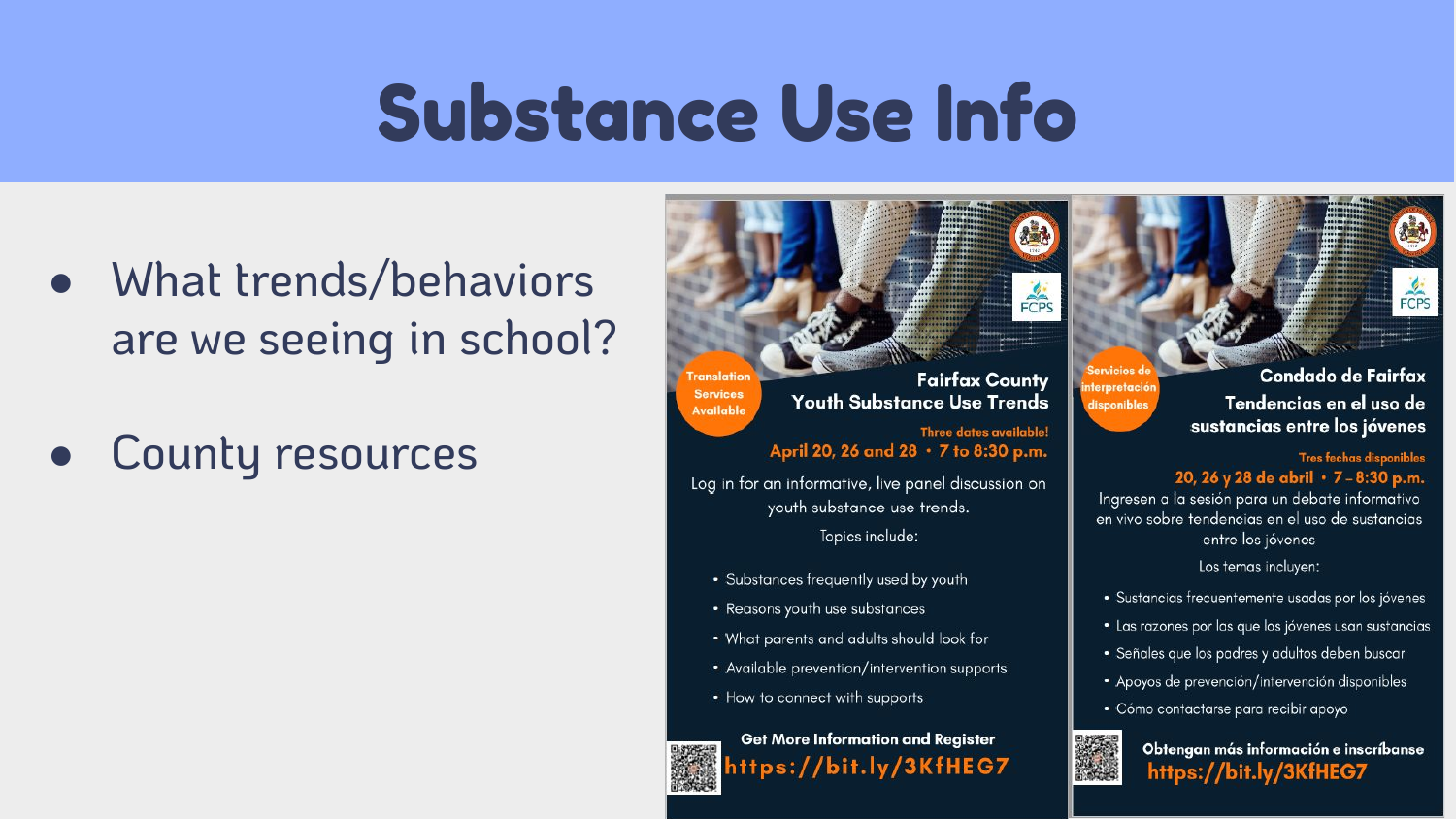#### Substance Use Info

**Franslation** 

**Services** 

**Available** 

- What trends/behaviors are we seeing in school?
- County resources



Three dates available! April 20, 26 and 28 · 7 to 8:30 p.m.

Log in for an informative, live panel discussion on youth substance use trends. Topics include:

- Substances frequently used by youth
- Reasons youth use substances
- . What parents and adults should look for
- Available prevention/intervention supports
- How to connect with supports

**Get More Information and Register** nttps://bit.ly/3KfHEG7

Condado de Fairfax Tendencias en el uso de sustancias entre los jóvenes

Tres fechas disponibles 20, 26 y 28 de abril · 7-8:30 p.m.

Ingresen a la sesión para un debate informativo en vivo sobre tendencias en el uso de sustancias entre los jóvenes

Los temas incluyen:

- · Sustancias frecuentemente usadas por los jóvenes
- · Las razones por las que los jóvenes usan sustancias
- · Señales que los padres y adultos deben buscar
- · Apoyos de prevención/intervención disponibles
- · Cómo contactarse para recibir apoyo



**iterpretación** 

disponibles

Obtengan más información e inscríbanse https://bit.ly/3KfHEG7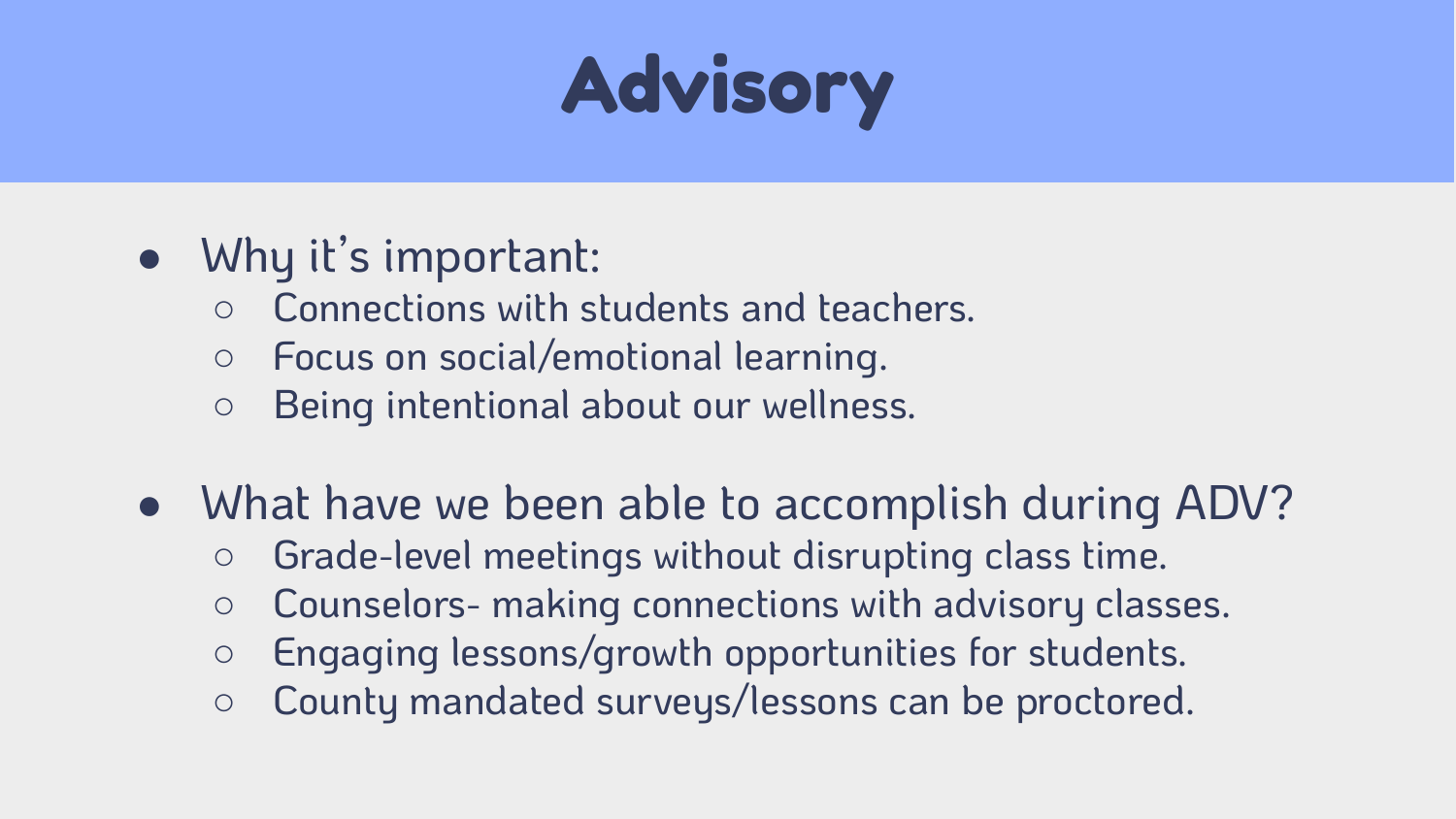### Advisory

#### ● Why it's important:

- Connections with students and teachers.
- Focus on social/emotional learning.
- Being intentional about our wellness.
- What have we been able to accomplish during ADV?
	- Grade-level meetings without disrupting class time.
	- Counselors- making connections with advisory classes.
	- Engaging lessons/growth opportunities for students.
	- County mandated surveys/lessons can be proctored.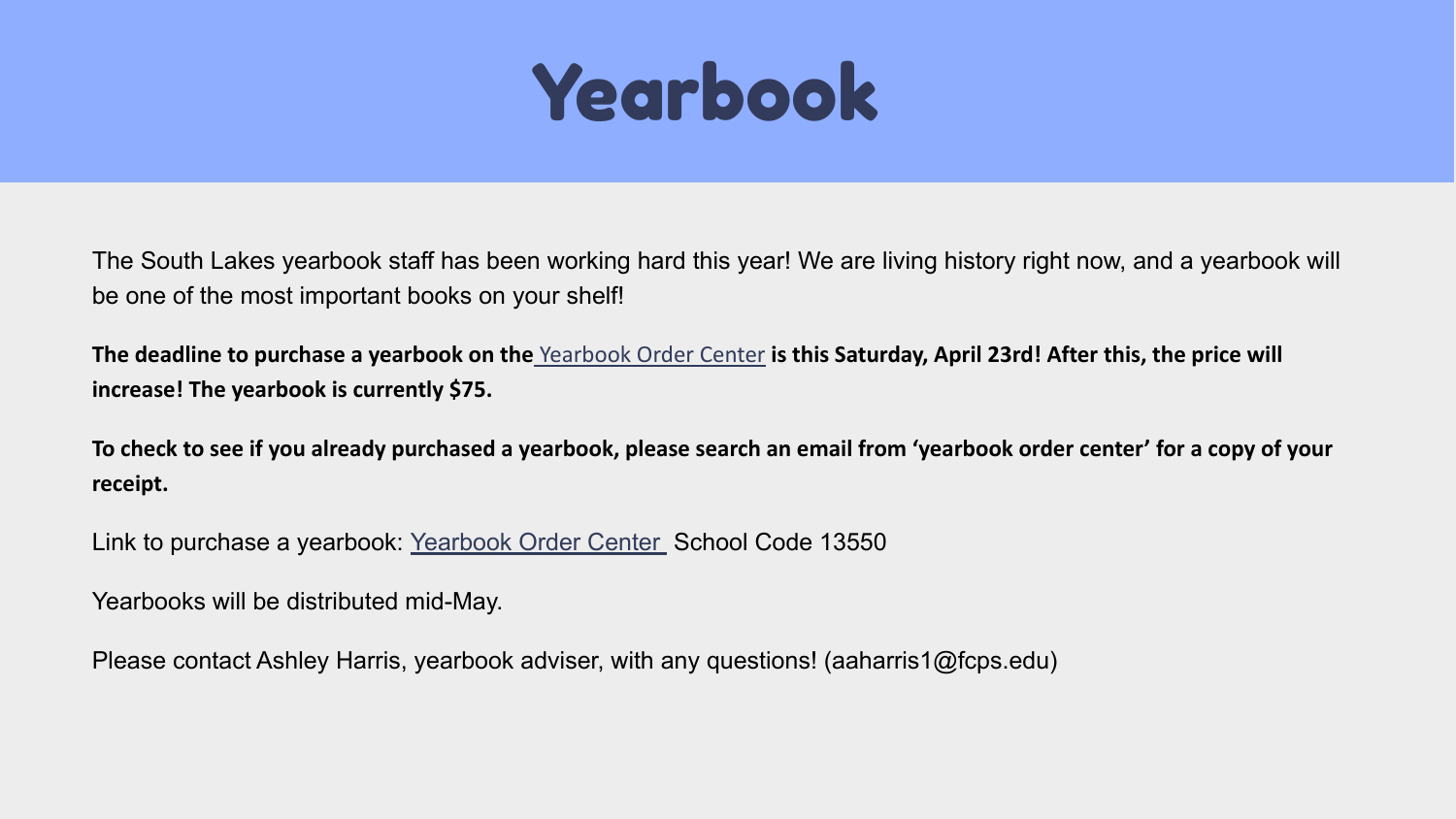#### Yearbook

The South Lakes yearbook staff has been working hard this year! We are living history right now, and a yearbook will be one of the most important books on your shelf!

**The deadline to purchase a yearbook on the** [Yearbook Order Center](https://www.yearbookordercenter.com/) **is this Saturday, April 23rd! After this, the price will increase! The yearbook is currently \$75.**

**To check to see if you already purchased a yearbook, please search an email from 'yearbook order center' for a copy of your receipt.** 

Link to purchase a yearbook: [Yearbook Order Center](https://www.yearbookordercenter.com/) School Code 13550

Yearbooks will be distributed mid-May.

Please contact Ashley Harris, yearbook adviser, with any questions! (aaharris1@fcps.edu)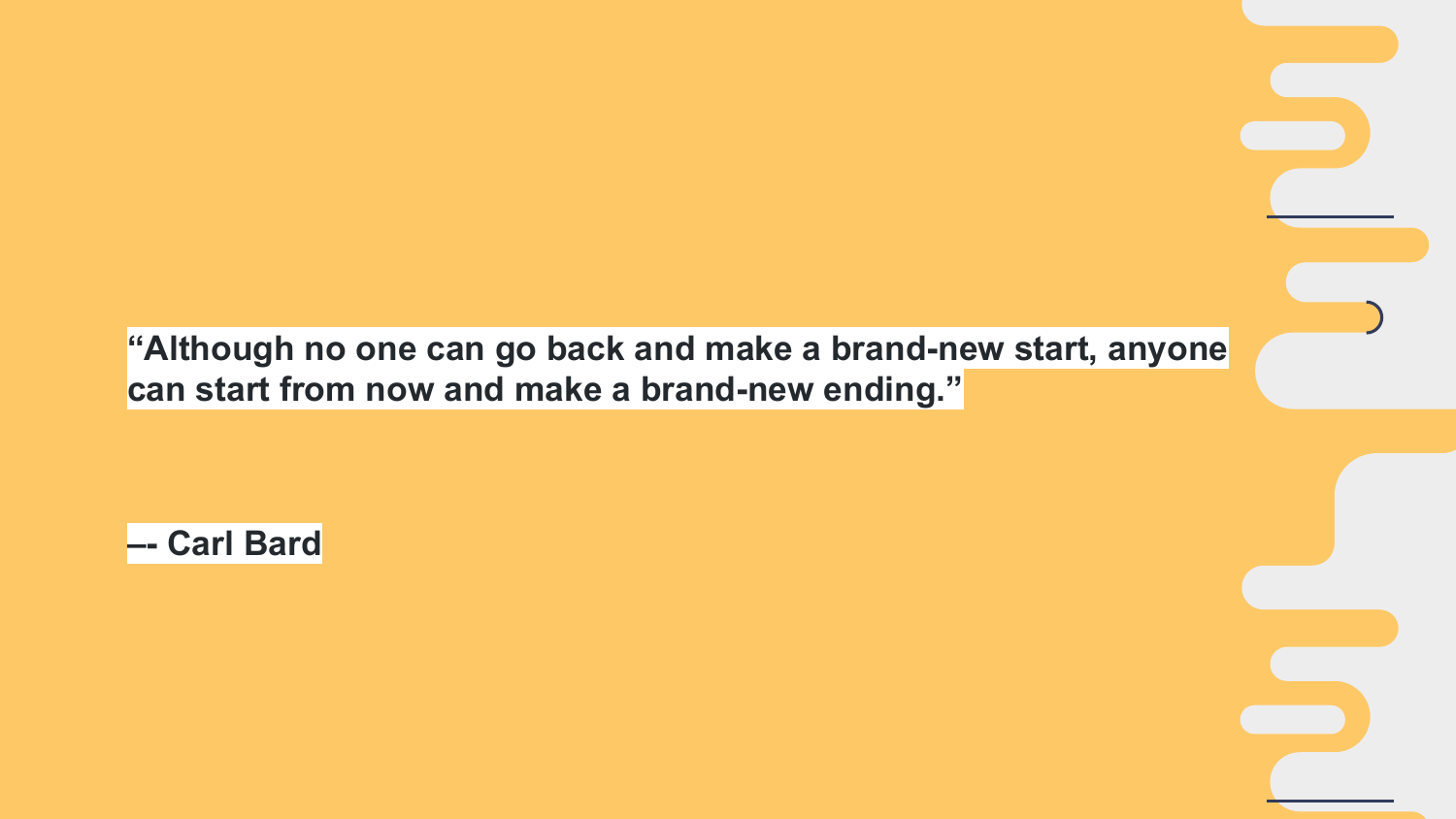**"Although no one can go back and make a brand-new start, anyone can start from now and make a brand-new ending."**

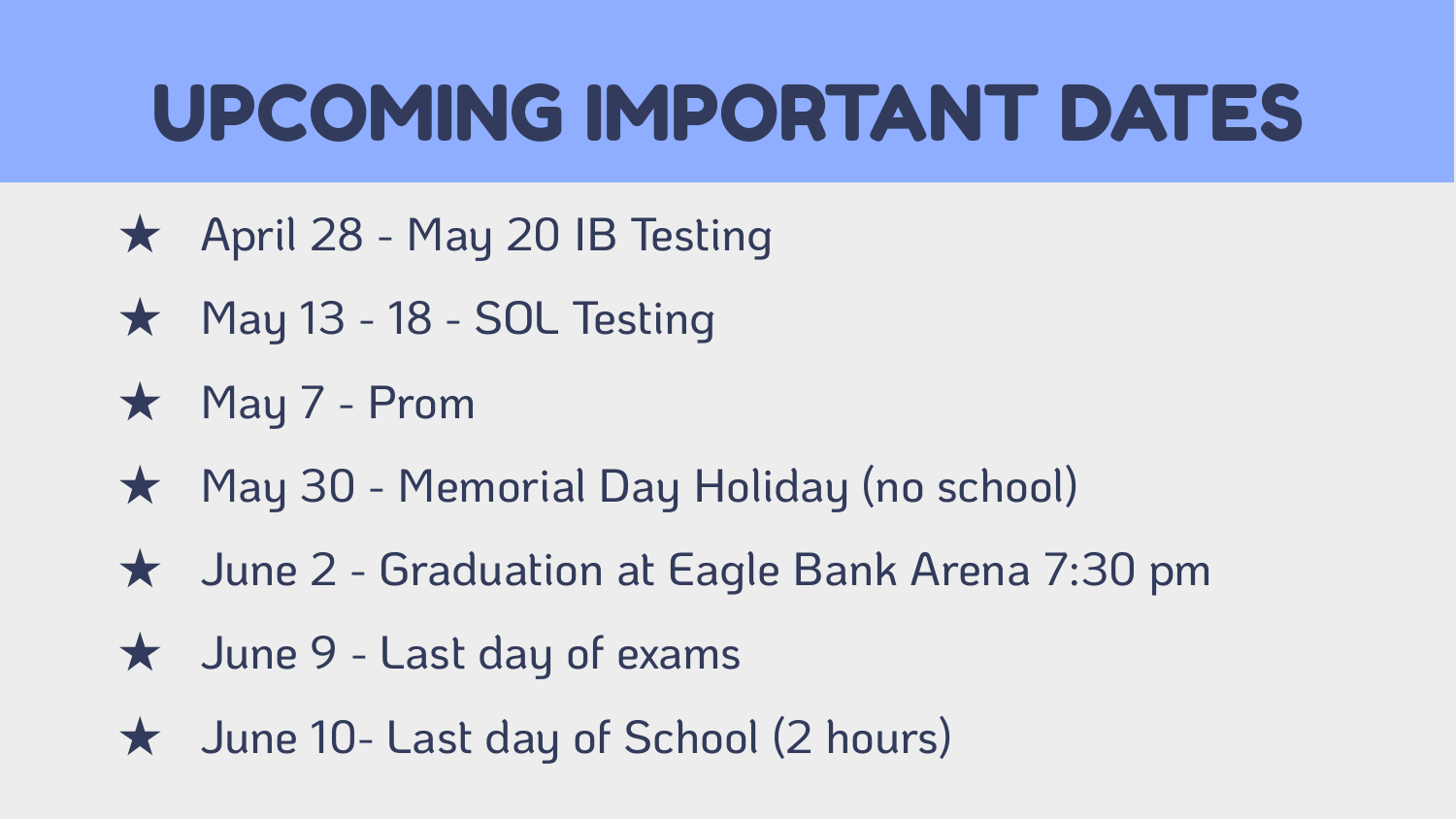#### UPCOMING IMPORTANT DATES

- ★ April 28 May 20 IB Testing
- ★ May 13 18 SOL Testing
- ★ May 7 Prom
- ★ May 30 Memorial Day Holiday (no school)
- ★ June 2 Graduation at Eagle Bank Arena 7:30 pm
- ★ June 9 Last day of exams
- ★ June 10- Last day of School (2 hours)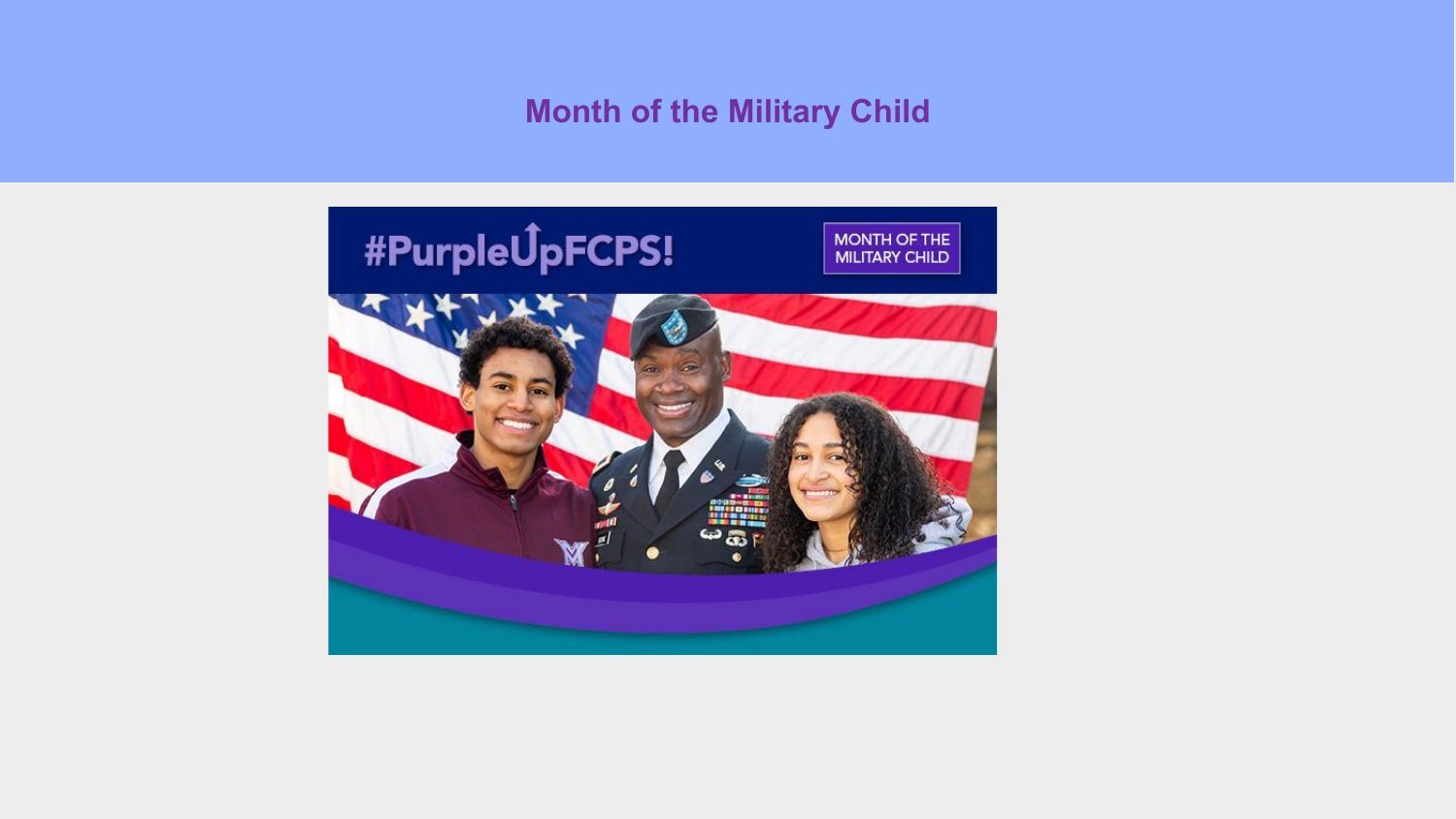#### **Month of the Military Child**

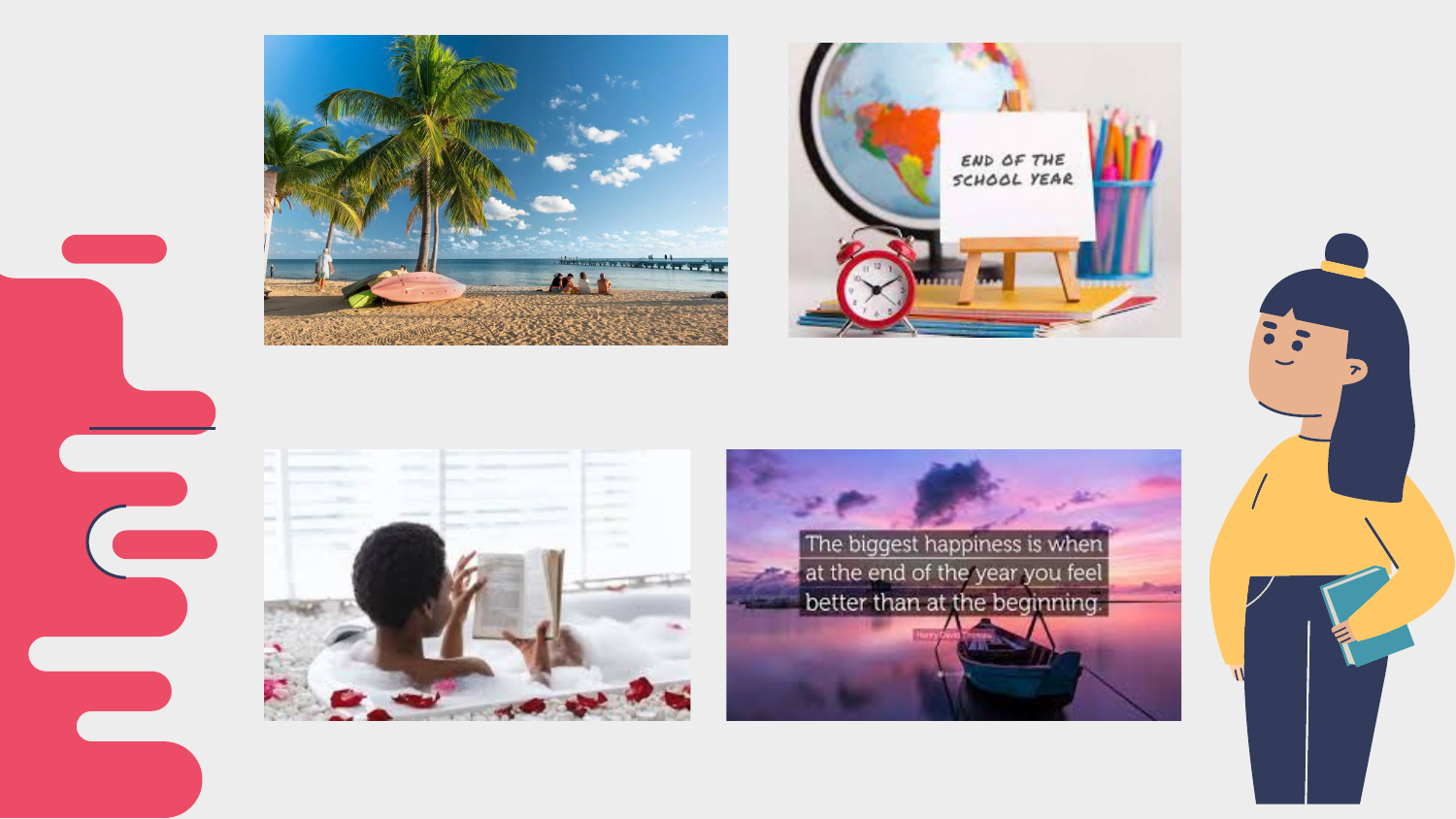





The biggest happiness is when at the end of the year you feel better than at the beginning.